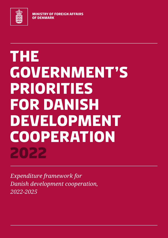

**MINISTRY OF FOREIGN AFFAIRS OF DENMARK** 

# **THE GOVERNMENT'S PRIORITIES FOR DANISH DEVELOPMENT COOPERATION 2022**

*Expenditure framework for Danish development cooperation, 2022-2025*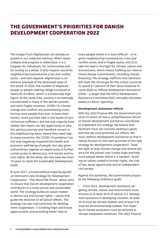## **The Government's priorities for Danish development cooperation 2022**

The images from Afghanistan are already engraved in our collective memory. When states collapse and progress is rolled back, it is a tragedy: for individuals, for communities and for society as a whole. It also impacts countries neighbouring humanitarian crisis and conflict zones - and even beyond. Afghanistan is an extreme example of the distressed state of the world. In 2020, the number of displaced people or people seeking refuge increased to nearly 82.4 million, which is a historically high figure. At the same time, poverty is increasingly concentrated in many of the world's poorest and most fragile countries. COVID-19, climate change and conflicts are exacerbating crises, forcing more people than ever to leave their homes. Some put their fate in the hands of cynical human traffickers, but the vast majority have neither the means nor the opportunity to take this perilous journey and therefore remain in the neighbouring areas, where they need help. In many countries, the COVID-19 pandemic has not only negatively impacted the health and economic well-being of people, but also given authoritarian regimes an opportunity to further curtail access to democracy, civil society and human rights. All the while, we now have less than 10 years to reach the Sustainable Development Goals.

In June 2021, a broad political majority agreed on Denmark's new Strategy for Development Cooperation , "The World We Share", which aims to ensure that Danish development cooperation contributes to a more secure and sustainable world. The strategy builds on values rooted in democracy and human rights – values that guide the direction of all Danish efforts. The strategy has two main priorities for development cooperation: 1) Creating hope and future opportunities, and providing better help to

more people where it is most difficult – in regions neighbouring humanitarian crisis and conflict zones, and in fragile states; and 2) to take the lead in the fight for climate, nature and environment, which means fulfilling our international climate commitments, including climate financing. The strategy reaffirms that Denmark will meet the UN target for the richest countries to spend 0.7 percent of their Gross National Income (GNI) on Official Development Assistance (ODA) – a target that the OECD Development Assistance Committee (DAC) annually calculates based on donor reporting.

#### **Development assistance reform**

With the 2022 Finance Bill, the Government presents its vision of how a comprehensive reform of Danish development assistance contributes to implement the strategy. We believe that Denmark must set concrete ambitious goals, and that we must prioritise our efforts. We must redirect development assistance so that it clearly focuses on the main priorities of the new strategy for development cooperation– "lead the fight to stop climate change and restore balance for the planet" and "create hope and help more people better where it is hardest", building on values rooted in human rights, the rule of law, equal opportunity and an independent civil society.

Against this backdrop, the Government proposes the following ambitious goals:

• From 2023, development assistance targeting climate, nature and environment must amount to at least 30 % of section *6.3. Development assistance to developing countries*. At least 25 % must be climate related, and at least 5 % must be environmentally related. The majority of climate assistance must be directed to climate adaptation initiatives. The 2022 Finance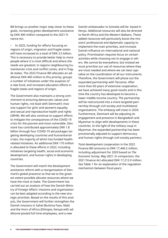Bill brings us another major step closer to these goals, increasing green development assistance by DKK 400 million compared to the 2021 Finance Act.

In 2025, funding for efforts focusing on regions of origin, migration and fragile states will have increased to a total of DKK 3.5 billion. This is necessary to provide better help to more people where it is most difficult and where the needs are greatest: in regions neighbouring humanitarian crisis and conflict zones, and in fragile states. The 2022 Finance Bill allocates an additional DKK 400 million to this priority, groups a number of initiatives under the auspices of a new fund, and increases education efforts in fragile states and regions of origin.

The Government also maintains a strong commitment to ensuring democratic values and human rights, not least with Denmark's massive support for girls' and women's equality and sexual and reproductive health and rights (SRHR). We will also continue to support efforts to mitigate the consequences of the COVID-19 crisis for the poorest and most vulnerable. Denmark has contributed approximately DKK 1.8 billion through four COVID-19 aid packages targeting developing countries and humanitarian crises, the majority of which has funded healthrelated initiatives. An additional DKK 170 million is allocated to these efforts in 2022, including initiatives targeting health, social and economic development, and human rights in developing countries.

The Government will match the development assistance reform with a reorganisation of Denmark's global presence so that we to the greatest extent possible allocate resources where we have the most at stake. The Government has carried out an analysis of how the Danish Ministry of Foreign Affairs' missions and organisation can be best adapted according to the new strategic priorities. Based on the results of this analysis, the Government will further strengthen the Danish missions in Sahel (Burkina Faso, Mali) and the Horn of Africa (Ethiopia, Kenya) with additional posted full time employees, and a new

Danish ambassador to Somalia will be based in Kenya. Additional resources will also be directed to North Africa and the Western Balkans. These added resources will particularly boost the missions' professional and diplomatic capacity to implement the main priorities, and increase Danish influence on international and national policy. Prioritisation requires focus on certain activities while choosing not to engage in others. We cannot be everywhere, but instead we must prioritise our use of resources where they are most needed and where we can best capitalise on the coordination of all our instruments. Therefore, the Government will phase out the expanded partnership with Tanzania. After more than 60 years of extensive cooperation, we have achieved many good results and in this time the country has developed to become a lower middle-income country. The partnership will be restructured into a more targeted partnership through civil society and multilateral organisations. The embassy will close in 2024. Furthermore, Denmark will be adjusting its engagement and presence in Bangladesh and Myanmar to align with developments in these countries. In the light of the military coup in Myanmar, the expanded partnership has been provisionally adjusted to support democracy and human rights through civil society partners.

Total development cooperation in the 2022 Finance Bill amounts to DKK 17,446.5 million, including adjustment for 2020 based on *The Economic Survey, May 2021*. In comparison, the 2021 Finance Act allocated DKK 17,212.0 million. See Table 1 for an explanation of the regulation mechanism between fiscal years.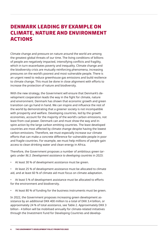# **Denmark leading by example on climate, nature and environment actions**

Climate change and pressure on nature around the world are among the greatest global threats of our time. The living conditions of billions of people are negatively impacted, intensifying conflicts and fragility, which in turn exacerbates poverty and inequality. Climate change and the biodiversity crisis are mutually reinforcing phenomena, increasing pressures on the world's poorest and most vulnerable people. There is an urgent need to reduce greenhouse gas emissions and build resilience to climate change. This must be done in close alignment with efforts to increase the protection of nature and biodiversity.

With the new strategy, the Government will ensure that Denmark's development cooperation leads the way in the fight for climate, nature and environment. Denmark has shown that economic growth and green transition can go hand in hand. We can inspire and influence the rest of the world by demonstrating that a greener society is not incompatible with prosperity and welfare. Developing countries, led by the growth economies, account for the majority of the world's carbon emissions, not least from coal power. Denmark can and must show the way and inspire action by the large carbon emitting countries. The least developed countries are most affected by climate change despite having the lowest carbon emissions. Therefore, we must especially increase our climate efforts that can make a concrete difference for vulnerable people in poor and fragile countries. For example, we must help millions of people gain access to clean drinking water and clean energy in Africa.

Therefore, the Government proposes a number of ambitious green targets under *§6.3. Development assistance to developing countries* in 2023:

- At least 30 % of development assistance must be green.
- At least 25 % of development assistance must be allocated to climate aid, and at least 60 % of climate aid must focus on climate adaptation.
- At least 5 % of development assistance must be allocated to efforts for the environment and biodiversity.
- At least 80 % of funding for the business instruments must be green.

In 2022, the Government proposes increasing green development assistance by an additional DKK 400 million to a total of DKK 3.4 billion, or approximately 24 % of total assistance, see Table 2. Approximately DKK 3 billion - 4 billion will be mobilised annually for climate-related initiatives through the Investment Fund for Developing Countries and develop-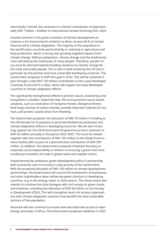ment banks. Overall, this amounts to a Danish contribution of approximately DKK 7 billion - 8 billion to international climate financing from 2023.

Another element in the green transition of Danish development assistance is the Government's ambition to direct at least 60 % of climate financial aid to climate adaptation. The majority of the population in the world's poor countries works directly or indirectly in agriculture and food production, which is facing ever-growing negative impacts from climate change. Without adaptation, climate change and the biodiversity crisis will destroy the livelihoods of many people. Therefore, greater focus must be directed towards building resilience to climate change for the most vulnerable people. This is also a need voiced by the UN and in particular by the poorest and most vulnerable developing countries. The Government proposes to fulfil this goal in 2022. This will be achieved in part through a new DKK 150 million contribution to the Least Developed Countries Fund (LDCF) in 2022, which will support the least developed countries in climate adaptation efforts.

The significantly strengthened efforts to protect nature, biodiversity and ecosystems is another important step. We must promote nature-based solutions, such as restoration of mangrove forests. Mangrove forests bind large volumes of carbon dioxide, provide important habitats for animals, and protect coastal areas from flooding.

The Government proposes the allocation of DKK 70 million in funding to the UN Decade for Ecosystems to promote biodiversity protection and climate adaptation efforts in developing countries. We are also increasing support for the UN Environment Programme so that it amounts to DKK 50 million annually in the period 2022-2025. This must be viewed together with the contribution of DKK 150 million to the Global Environment Facility (GEF) as part of a planned total contribution of DKK 500 million. In addition, the Government proposes initiatives focusing on corporate social responsibility in relation to ensuring a green and more socially just transition of trade in global value and supplier chains.

Implementing the ambitious green development policy in partnership with businesses and civil society is a key priority of the Government. With the proposed allocation of DKK 100 million to climate development partnerships, the Government will ensure the involvement of businesses and other stakeholders when delivering green solutions in developing countries, e.g. in the energy, water or food sectors. The Government also intends to continue the close dialogue with civil society on green issues and initiatives, including the allocation of DKK 50 million to Civil Society in Development (CISU). This will strengthen local civil society organisations with climate adaptation solutions that benefit the most vulnerable sections of the population.

Denmark will also continue to ensure new and improved access to clean energy and water in Africa. The Government proposes initiatives in 2022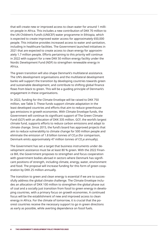that will create new or improved access to clean water for around 1 million people in Africa. This includes a new contribution of DKK 70 million to the UN Children's Fund's (UNICEF) water programme in Ethiopia, which is expected to create improved water access for approximately 650,000 people. This initiative provides increased access to water and sanitation, including in healthcare facilities. The Government launched initiatives in 2021 that are expected to create access to clean energy for approximately 1.7 million people. Efforts pertaining to this priority will continue in 2022 with support for a new DKK 50 million energy facility under the Nordic Development Fund (NDF) to strengthen renewable energy in Africa.

The green transition will also shape Denmark's multilateral assistance. The UN's development organisations and the multilateral development banks will support the transition by developing countries towards green and sustainable development, and contribute to shifting global finance flows from black to green. This will be a guiding principle of Denmark's engagement in these organisations.

In 2022, funding for the Climate Envelope will be raised to DKK 750 million, see Table 3. These funds support climate adaptation in the least developed countries and efforts that aim to reduce greenhouse gas emissions in growth economies. With Climate Envelope funds, the Government will continue its significant support of The Green Climate Fund (GCF) with an allocation of DKK 335 million. GCF, the world's largest climate fund, supports efforts to reduce carbon emissions and adapt to climate change. Since 2015, the fund's board has approved projects that aim to reduce vulnerability to climate change for 500 million people and eliminate the emission of 1.8 billion tonnes of  $CO<sub>2</sub>e$  (for comparison, Denmark emits approximately 47 million tonnes of  $CO<sub>2</sub>e$  annually).

The Government has set a target that business instruments under development assistance must be at least 80 % green. With the 2022 Finance Bill, the Government proposes to strengthen and focus cooperation with government bodies abroad in sectors where Denmark has significant positions of strength, including climate, energy, water, environment and food. The proposal will increase funding for this form of green cooperation by DKK 25 million annually.

The transition to green and clean energy is essential if we are to successfully address the global climate challenge. The Climate Envelope includes an allocation of DKK 100 million to strengthen the global phase out of coal and a socially just transition from fossil to green energy in developing countries, with a primary focus on growth economies. A continued focus will be the establishment of new and improved access to clean energy in Africa. For the climate of tomorrow, it is crucial that the poorest countries receive the necessary support to go in green directions as early as possible, while averting dependence on fossil fuels.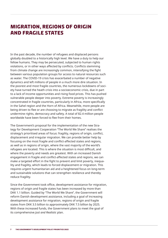# **Migration, regions of origin and fragile states**

In the past decade, the number of refugees and displaced persons globally doubled to a historically high level. We have a duty to help our fellow humans. They may be persecuted, subjected to human rights violations, or in other ways affected by conflicts. Conflicts stemming from climate change are increasingly common, intensifying the fight between various population groups for access to natural resources such as water. The COVID-19 crisis has exacerbated a number of negative dynamics and left millions of people in a much more dire situation. In the poorest and most fragile countries, the numerous lockdowns of society have turned the heath crisis into a socioeconomic crisis, due in part to a lack of income opportunities and rising food prices. This has pushed vulnerable people deeper into poverty. Extreme poverty is increasingly concentrated in fragile countries, particularly in Africa, more specifically in the Sahel region and the Horn of Africa. Meanwhile, more people are being driven to flee or are choosing to migrate as fragility and conflict undermine rights, democracy and safety. A total of 82.4 million people worldwide have been forced to flee from their homes.

The Government's proposal for the implementation of the new Strategy for Development Cooperation "The World We Share" realises the strategy's prioritised areas of focus: fragility, regions of origin, conflict, displacement and irregular migration. We can provide better help by focusing on the most fragile and conflict-affected states and regions, as well as in regions of origin, where the vast majority of the world's refugees are located. This is where the situation is most difficult, and where the poverty and needs are greatest. With an increased Danish engagement in fragile and conflict-affected states and regions, we can make a targeted effort in the fight to prevent and limit poverty, inequality and fragility, which leads to forced displacement or migration. This requires urgent humanitarian aid and a heightened focus on long-term and sustainable solutions that can strengthen resilience and thereby reduce fragility.

Since the Government took office, development assistance for migration, regions of origin and fragile states has been increased by more than DKK 1.1 billion. Guided by "The World We Share", the Government will reform Danish development assistance, including a goal of increasing development assistance for migration, regions of origin and fragile states from DKK 3.5 billion to approximately DKK 7.5 billion by 2025. With these increased funds, the Government plans to meet the goal of its comprehensive *Just and Realistic* plan.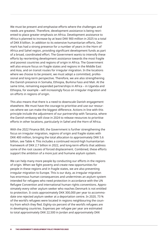We must be present and emphasise efforts where the challenges and needs are greatest. Therefore, development assistance is being reoriented to place greater emphasis on Africa. Development assistance to Africa is planned to increase by at least DKK 900 million in 2025 to a total of DKK 8 billion. In addition to its extensive humanitarian efforts, Denmark has had a strong presence for a number of years in the Horn of Africa and Sahel region, providing significant development funds as part of a broad, coordinated effort. The Government wants to intensify these efforts by reorienting development assistance towards the most fragile and poorest countries and regions of origin in Africa. The Government will also ensure focus on fragile states and regions in the Middle East and Asia, and on transit routes for irregular migration. In the locations where we choose to be present, we must adopt a committed, professional and long-term perspective. Therefore, we are also strengthening the Danish presence in Somalia, Ethiopia, Burkina Faso and Mali. At the same time, remaining expanded partnerships in Africa – in Uganda and Ethiopia, for example – will increasingly focus on irregular migration and on efforts in regions of origin.

This also means that there is a need to downscale Danish engagement elsewhere. We must have the courage to prioritise and use our resources where we can make the biggest difference. Actions in line with this principle include the adjustment of our partnership with Tanzania, where the Danish embassy will close in 2024 to release resources to prioritise efforts in other locations, particularly in Sahel and the Horn of Africa.

With the 2022 Finance Bill, the Government is further strengthening the focus on irregular migration, regions of origin and fragile states with DKK 400 million, bringing the total allocation to approximately DKK 5.6 billion, see Table 4. This includes a continued record-high humanitarian framework of DKK 2.7 billion in 2022, and long-term efforts that address some of the root causes of forced displacement. Combined, these efforts support the ambition of a more just and humane asylum system.

We can help many more people by conducting our efforts in the regions of origin. When we fight poverty and create new opportunities for people in these regions and in fragile states, we are also preventing irregular migration to Europe. This is our duty, as irregular migration has enormous human consequences and undermines an asylum system intended for refugees who need protection in accordance with the UN Refugee Convention and international human rights conventions. Approximately every other asylum seeker who reaches Denmark is not entitled to protection. It costs approximately DKK 300,000 per year to accommodate one rejected asylum seeker at a deportation centre. In 2020, 73 % of the world's refugees were located in regions neighbouring the country from which they fled. Eighty-six percent of the world's refugees are in developing countries. Expenses per refugee per year are estimated to total approximately DKK 22,500 in Jordan and approximately DKK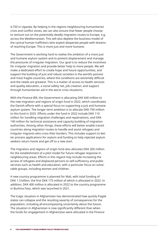4,750 in Uganda. By helping in the regions neighbouring humanitarian crisis and conflict zones, we can also ensure that fewer people choose to venture out on the potentially deadly migration routes to Europe, e.g. across the Mediterranean. This will also deplete the business model of the cynical human traffickers who exploit desperate people with dreams of reaching Europe. This is more just and more humane.

The Government is working hard to realise the ambition of a more just and humane asylum system and to prevent displacement and manage the pressures of irregular migration. Our goal is to reduce the incentives for irregular migration and provide better help to more people. We will make a dedicated effort to create hope and future opportunities, and support the building of just and robust societies in the world's poorest and most fragile countries, where the conditions are extremely difficult and the needs are greatest. This is a matter of access to health services and quality education, a social safety net, job creation, and support through humanitarian aid in the worst crisis situations.

With the Finance Bill, the Government is allocating DKK 640 million to the new migration and regions of origin fund in 2022, which coordinates the Danish efforts with a special focus on supporting a just and humane asylum system. The longer term ambition is to allocate DKK 750 million to this fund in 2025. Efforts under the fund in 2022 include DKK 110 million for handling migration challenges and repatriations, and DKK 190 million for technical assistance and capacity building of migration authorities. Among other things, these efforts will better enable transit countries along migration routes to handle and assist refugees and irregular migrants who cross their borders. This includes support to better process applications for asylum and funding to help rejected asylum seekers return home and get off to a new start.

The migration and regions of origin fund also allocates DKK 200 million for the establishment of a pilot model for future refugee response in neighbouring areas. Efforts in this regard may include increasing the access of refugees and displaced persons to self-sufficiency and public services such as health and education, with a particular focus on vulnerable groups, including women and children.

A new country programme is planned for Mali, with total funding of DKK 1.3 billion, the first DKK 175 million of which is allocated in 2022. In addition, DKK 400 million is allocated in 2022 to the country programme in Burkina Faso, which was launched in 2021.

The tragic situation in Afghanistan has demonstrated how quickly fragile states can collapse and the resulting severity of consequences for the population, including all-encompassing uncertainty about the future. The situation in Afghanistan is now significantly different than when the funds for engagement in Afghanistan were allocated in the Finance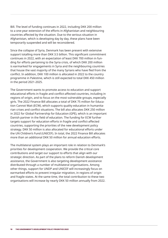Bill. The level of funding continues in 2022, including DKK 200 million to a one-year extension of the efforts in Afghanistan and neighbouring countries affected by the situation. Due to the serious situation in Afghanistan, which is developing day by day, these plans have been temporarily suspended and will be reconsidered.

Since the collapse of Syria, Denmark has been present with extensive support totalling more than DKK 3.5 billion. This significant commitment continues in 2022, with an expectation of least DKK 700 million in funding for efforts pertaining to the Syria crisis, of which DKK 200 million is earmarked for engagements in Syria and the neighbouring countries that house the vast majority of the many Syrians who have fled from the conflict. In addition, DKK 100 million is allocated in 2022 to the country programme in Palestine, which is still expected to total DKK 450 million in the period 2021-2025.

The Government wants to promote access to education and support educational efforts in fragile and conflict-affected countries, including in regions of origin, and to focus on the most vulnerable groups, especially girls. The 2022 Finance Bill allocates a total of DKK 75 million for Education Cannot Wait (ECW), which supports quality education in humanitarian crises and conflict situations. The bill also allocates DKK 250 million in 2022 for Global Partnership for Education (GPE), which is an important Danish partner in the field of education. The funding for ECW further targets support for education efforts in fragile and conflict-affected countries, supporting the priorities of the new development policy strategy. DKK 50 million is also allocated for educational efforts under the UN Children's Fund (UNICEF). In total, the 2022 Finance Bill allocates more than an additional DKK 50 million for annual education efforts.

The multilateral system plays an important role in relation to Denmark's priorities for development cooperation. We provide the critical core contributions and target our support to efforts that align with our strategic direction. As part of the plans to reform Danish development assistance, the Government is also targeting development assistance distributed through a number of multilateral organisations. Among other things, support for UNDP and UNICEF will increasingly focus on earmarked efforts to prevent irregular migration, in regions of origin and fragile states. At the same time, the total contribution to these two organisations will increase by nearly DKK 50 million annually from 2022.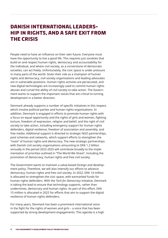# **Danish international leadership in rights, and a safe exit from the crisis**

People need to have an influence on their own future. Everyone must have the opportunity to live a good life. This requires just societies that build on and respect human rights, democracy and accountability for the individual, and where civil society, as a cornerstone of democratic societies, can act freely. Unfortunately, the civic space is under pressure in many parts of the world. Given their role as a champion of human rights and democracy, civil society organisations and leading advocates are in vulnerable positions. Human rights activists are persecuted, and new digital technologies are increasingly used to commit human rights abuses and curtail the ability of civil society to take action. The Government wants to support the important voices that are critical to turning development in a better direction.

Denmark already supports a number of specific initiatives in this respect, which involve political parties and human rights organisations. In addition, Denmark is engaged in efforts to promote human rights with a focus on equal opportunity and the rights of girls and women, fighting torture, freedom of expression, religion and belief, and the right of civil society to take action, including emergency support for human rights defenders, digital resilience, freedom of association and assembly, and free media. Additional support is directed to strategic NGO partnerships, pool schemes and networks, which support efforts to strengthen the "roots" of human rights and democracy. The new strategic partnerships with Danish civil society organisations amounting to DKK 1.2 billion annually in the period 2022-2025 will contribute broadly to the implementation of priorities outlined in "The World We Share", including the promotion of democracy, human rights and free civil society.

The Government wants to maintain a value-based foreign and development policy. Therefore, we will also intensify our efforts to advance democracy, human rights and free civil society. In 2022, DKK 14 million is allocated to strengthen the civic space, with earmarked funds for human rights defenders. With the *Tech for Democracy* initiative, Denmark is taking the lead to ensure that technology supports, rather than undermines, democracy and human rights. As part of this effort, DKK 15 million is allocated in 2022 for efforts that aim to support the digital resilience of human rights defenders.

For many years, Denmark has been a prominent international voice in the fight for the rights of women and girls – a voice that has been supported by strong development engagements. This agenda is a high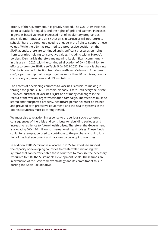priority of the Government. It is greatly needed. The COVID-19 crisis has led to setbacks for equality and the rights of girls and women, increases in gender-based violence, increased risk of involuntary pregnancies and child marriages, and a risk that girls in particular will not return to school. There is a continued need to engage in the fight to support these values. While the USA has returned to a progressive position on the SRHR agenda, there are continued and significant pressures on rights from countries holding conservative values, including within Europe's borders. Denmark is therefore maintaining its significant commitment in this area in 2022, with the continued allocation of DKK 755 million to efforts to promote SRHR, see Table 5. In 2021-2022, Denmark is chairing "Call to Action on Protection from Gender-Based Violence in Emergencies", a partnership that brings together more than 90 countries, donors, civil society organisations and UN institutions.

The access of developing countries to vaccines is crucial to making it through the global COVID-19 crisis. Nobody is safe until everyone is safe. However, purchase of vaccines is just one of many challenges in the rollout of the world's largest vaccination campaign. The vaccines must be stored and transported properly, healthcare personnel must be trained and provided with protective equipment, and the health systems in the poorest countries must be strengthened.

We must also take action in response to the serious socio-economic consequences of the crisis and contribute to rebuilding societies and increasing resilience to future health crises. Therefore, the Government is allocating DKK 170 million to international health crises. These funds could, for example, be used to contribute to the purchase and distribution of medical equipment and vaccines by developing countries.

In addition, DKK 25 million is allocated in 2022 for efforts to support the capacity of developing countries to create well-functioning tax systems that can better enable these countries to mobilize the necessary resources to fulfil the Sustainable Development Goals. These funds are in extension of the Government's strategy and its commitment to supporting the Addis Tax Initiative.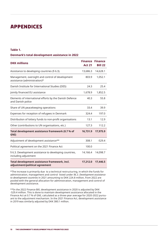## **appendices**

#### **Table 1.**

#### **Denmark's total development assistance in 2022**

| <b>DKK millions</b>                                                              | Finance<br><b>Act 21</b> | <b>Finance</b><br><b>Bill 22</b> |
|----------------------------------------------------------------------------------|--------------------------|----------------------------------|
| Assistance to developing countries (§ 6.3).                                      | 13,686.3                 | 14,628.1                         |
| Management, oversight and control of development<br>assistance (administration)* | 803.9                    | 1,052.1                          |
| Danish Institute for International Studies (DIIS)                                | 24.3                     | 25.4                             |
| Jointly financed EU assistance                                                   | 1,678.9                  | 1,852.5                          |
| Elements of international efforts by the Danish Defence<br>and Danish police     | 40.3                     | 55.8                             |
| Share of UN peacekeeping operations                                              | 33.4                     | 39.9                             |
| Expenses for reception of refugees in Denmark                                    | 324.4                    | 197.0                            |
| Distribution of lottery funds to non-profit organisations                        | 13.1                     | 12.9                             |
| Other (contributions to UN organisations, etc.)                                  | 127.3                    | 112.2                            |
| Total development assistance framework (0.7 % of<br>GNI)                         | 16,731.9                 | 17,975.9                         |
| Adjustment of development assistance**                                           | 308.1                    | $-529.4$                         |
| Political agreement on the 2021 Finance Act                                      | 100.0                    |                                  |
| § 6.3. Development assistance to developing countries,<br>including adjustment   | 14,166.4                 | 14,098.7                         |
| Total development assistance framework, incl.<br>adjustment/political agreement  | 17,212.0                 | 17,446.5                         |

\*The increase is primarily due to a technical restructuring, in which the funds for administration, management and control listed under *§6.3. Development assistance to development countries* in 2021 amounting to DKK 224.8 million, from 2022 are pooled with the general allocation for administration, management and control of development assistance.

\*\*In the 2022 Finance Bill, development assistance in 2020 is adjusted by DKK -529.4 million. This is done to maintain development assistance allocated in the Finance Act at 0.7 % of GNI, calculated as a three-year average for 2020-2022 pursuant to the adjustment mechanism. In the 2021 Finance Act, development assistance in 2019 was similarly adjusted by DKK 380.1 million.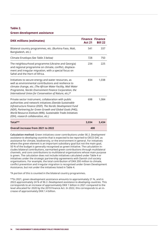#### **Table 2.**

#### **Green development assistance**

| <b>DKK millions (estimates)</b>                                                                                                                                                                                                                                                                                                                      | <b>Act 21</b> | <b>Finance Finance</b><br><b>Bill 22</b> |
|------------------------------------------------------------------------------------------------------------------------------------------------------------------------------------------------------------------------------------------------------------------------------------------------------------------------------------------------------|---------------|------------------------------------------|
| Bilateral country programmes, etc. (Burkina Faso, Mali,<br>Bangladesh, etc.)                                                                                                                                                                                                                                                                         | 541           | 337                                      |
| Climate Envelope (See Table 3 below)                                                                                                                                                                                                                                                                                                                 | 728           | 750                                      |
| The neighbourhood programme (Ukraine and Georgia)<br>and regional programme on climate, conflict, displace-<br>ment and irregular migration, with a special focus on<br>Sahel and the Horn of Africa.                                                                                                                                                | 234           | 225                                      |
| Initiatives to secure energy and water resources, as<br>well as environmental contributions and resilience to<br>climate change, etc. (The African Water Facility, Mali Water<br>Programme, Nordic Environment Finance Corporation, the<br>International Union for Conservation of Nature, etc.)*                                                    | 834           | 1,038                                    |
| Private sector instrument, collaboration with public<br>authorities and network initiatives (Danida Sustainable<br>Infrastructure Finance (DSIF), The Nordic Development Fund<br>(NDF), Partnering for Green Growth and Global Goals (P4G),<br>World Resource Institute (WRI), Sustainable Trade Initiatives<br>(IDH), research collaboration, etc.) | 698           | 1.084                                    |
| Total**                                                                                                                                                                                                                                                                                                                                              | 3,034         | 3.434                                    |
| Overall increase from 2021 to 2022                                                                                                                                                                                                                                                                                                                   | 400           |                                          |

**Calculation method:** Green initiatives cover contributions under *§6.3. Development assistance to developing countries* that is expected to be reported to OECD DAC as assistance for climate, biodiversity, or the environment in general. For initiatives where the green element is an important subsidiary goal but not the main goal, 50 % of the budget is generally recognised as green initiative. The calculation includes bilateral contributions, earmarked green contributions through multilateral channels, and core contributions to multilateral organisations whose main purpose is green. The calculation does not include initiatives calculated under Table 4 or initiatives under the strategic partnership agreements with Danish civil society organisations. For example, the total contribution of DKK 200 million to climate, conflict prevention and irregular migration is recognised under Green Development Assistance, but not under the initiatives listed in Table 4.

\*A portion of this is counted in the bilateral country programmes.

\*\*In 2021, green development assistance amounts to approximately 21 %, and in 2022 approximately 24 % of *§6.3. Development assistance to developing countries*. This corresponds to an increase of approximately DKK 1 billion in 2021 compared to the level allocated for 2020 by the 2019 Finance Act. In 2022, this corresponds to an increase of approximately DKK 1.4 billion.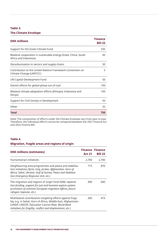## **Table 3. The Climate Envelope**

| <b>DKK</b> millions                                                                       | <b>Finance</b><br><b>Bill 22</b> |
|-------------------------------------------------------------------------------------------|----------------------------------|
| Support for the Green Climate Fund                                                        | 335                              |
| Bilateral cooperation in sustainable energy (India, China, South<br>Africa and Indonesia) | 45                               |
| Decarbonisation in sectors and supply chains                                              | 30                               |
| Contribution to the United Nations Framework Convention on<br>Climate Change (UNFCCC)     | 5                                |
| UN Capital Development Fund                                                               | 50                               |
| Danish efforts for global phase out of coal                                               | 100                              |
| Bilateral climate adaptation efforts (Ethiopia, Indonesia and<br>Kenya)                   | 100                              |
| Support for Civil Society in Development                                                  | 50                               |
| Other                                                                                     | 35                               |
| Total                                                                                     | 750                              |

Note: The composition of efforts under the Climate Envelope vary from year to year. Therefore, the individual efforts cannot be compared between the 2021 Finance Act and 2022 Finance Bill.

#### **Table 4.**

#### **Migration, fragile areas and regions of origin**

| <b>DKK millions (estimates)</b>                                                                                                                                                                                                                 | <b>Finance Finance</b><br><b>Act 21</b> | <b>Bill 22</b> |
|-------------------------------------------------------------------------------------------------------------------------------------------------------------------------------------------------------------------------------------------------|-----------------------------------------|----------------|
| Humanitarian initiatives                                                                                                                                                                                                                        | 2,700                                   | 2,700          |
| Neighbouring area programmes and peace and stabilisa-<br>tion initiatives (Syria, Iraq, Jordan, Afghanistan, Horn of<br>Africa, Sahel, Ukraine, Gulf of Guinea, Peace and Stabilisa-<br>tion Emergency Response Unit, etc.)                     | 715                                     | 870            |
| The migration and regions of origin fund (IOM, repatria-<br>tion funding, support for just and humane asylum system,<br>promotion of common European migration efforts, future<br>refugee response, etc.)                                       | 490                                     | 640            |
| Multilateral contributions targeting efforts against fragi-<br>lity, e.g. in Sahel, Horn of Africa, Middle East, Afghanistan<br>(UNDP, UNICEF, Education Cannot Wait, World Bank<br>initiatives for fragility, conflict and displacement, etc.) | 260                                     | 473            |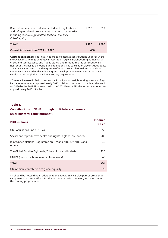| Palestine, etc.)<br>Total*                                                                                                | 5.182 | 5.582 |
|---------------------------------------------------------------------------------------------------------------------------|-------|-------|
| including reserve (Afghanistan, Burkina Faso, Mali,                                                                       |       |       |
| Bilateral initiatives in conflict-affected and fragile states,<br>and refugee-related programmes in large host countries, | 1.017 | 899   |

| <b>Overall increase from 2021 to 2022</b> | 400 |
|-------------------------------------------|-----|
|                                           |     |

**Calculation method:** The initiatives are calculated as contributions under *§6.3. Development assistance to developing countries* in regions neighbouring humanitarian crises and conflict zones and fragile states, and refugee-related contributions in host countries based on World Bank definitions. The calculation also includes peace and stabilisation efforts and migration efforts. The calculation does not include initiatives calculated under Table 2 (green development assistance) or initiatives conducted through the Danish civil society organisations.

\*The total increase in 2021 of assistance for migration, neighbouring areas and fragile states amounted to approximately DKK 1.1 billion compared to the level allocated for 2020 by the 2019 Finance Act. With the 2022 Finance Bill, the increase amounts to approximately DKK 1.5 billion

#### **Table 5.**

#### **Contributions to SRHR through multilateral channels (excl. bilateral contributions\*)**

| <b>DKK millions</b>                                                    | <b>Finance</b><br><b>Bill 22</b> |
|------------------------------------------------------------------------|----------------------------------|
| UN Population Fund (UNFPA)                                             | 350                              |
| Sexual and reproductive health and rights in global civil society      | 200                              |
| Joint United Nations Programme on HIV and AIDS (UNAIDS), and<br>others | 40                               |
| The Global Fund to Fight Aids, Tuberculosis and Malaria                | 125                              |
| UNFPA (under the humanitarian framework)                               | 40                               |
| Total                                                                  | 755                              |
| UN Women (contribution to global equality)                             | 75                               |

\*It should be noted that, in addition to the above, SRHR is also part of broader development assistance efforts for the purpose of mainstreaming, including under the country programmes.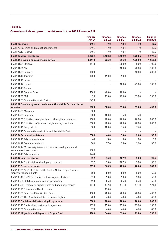### **Table 6.**

## **Overview of development assistance in the 2022 Finance Bill**

|                                                                                          | <b>Finance</b><br><b>Act 21</b> | <b>Finance</b><br><b>Bill 22</b> | <b>Finance</b><br><b>Bill BO1</b> | <b>Finance</b><br><b>Bill BO2</b> | <b>Finance</b><br><b>Bill BO3</b> |
|------------------------------------------------------------------------------------------|---------------------------------|----------------------------------|-----------------------------------|-----------------------------------|-----------------------------------|
| 06.31 Reserves                                                                           | 349.7                           | 47.0                             | 18.4                              | 1.0                               | 43.5                              |
| 06.31.79 Reserves and budget adjustments                                                 | 349.7                           | 47.0                             | 18.4                              | 1.0                               | 43.5                              |
| 06.31.79.10 Reserve                                                                      | 349.7                           | 47.0                             | 18.4                              | 1.0                               | 43.5                              |
| 06.32 Bilateral assistance                                                               | 3,826.3                         | 3,400.3                          | 3,489.9                           | 3,703.6                           | 3,977.6                           |
| 06.32.01 Developing countries in Africa                                                  | 1,317.0                         | 725.0                            | 955.0                             | 1,200.0                           | 1,550.0                           |
| 06.32.01.05 Ethiopia                                                                     | 117.0                           |                                  | 200.0                             | 300.0                             | 400.0                             |
| 06.32.01.06 Niger                                                                        |                                 | ٠                                | 100.0                             | 200.0                             | 300.0                             |
| 06.32.01.08 Somalia                                                                      | 100.0                           |                                  |                                   | 100.0                             | 200.0                             |
| 06.32.01.10 Tanzania                                                                     | 100.0                           | 150.0                            | 50.0                              |                                   |                                   |
| 06.32.01.11 Kenya                                                                        |                                 |                                  |                                   |                                   |                                   |
| 06.32.01.12 Uganda                                                                       |                                 |                                  | 100.0                             | 250.0                             | 300.0                             |
| 06.32.01.15 Ghana                                                                        |                                 | ä,                               |                                   |                                   |                                   |
| 06.32.01.17 Burkina Faso                                                                 | 450.0                           | 400.0                            | 280.0                             |                                   |                                   |
| 06.32.01.20 Mali                                                                         | 5.0                             | 175.0                            | 225.0                             | 350.0                             | 350.0                             |
| 06.32.01.23 Other initiatives in Africa                                                  | 545.0                           |                                  |                                   |                                   |                                   |
| 06.32.02 Developing countries in Asia, the Middle East and Latin<br><b>America</b>       | 600.0                           | 600.0                            | 550.0                             | 550.0                             | 400.0                             |
| 06.32.02.05 Myanmar                                                                      | 50.0                            |                                  |                                   |                                   |                                   |
| 06.32.02.08 Palestine                                                                    | 200.0                           | 100.0                            | 75.0                              | 75.0                              |                                   |
| 06.32.02.09 Initiatives in Afghanistan and neighbouring areas                            | 100.0                           | 200.0                            | 200.0                             | 200.0                             | 200.0                             |
| 06.32.02.10 Initiatives in Syria and neighbouring countries                              | 200.0                           | 200.0                            | 200.0                             | 200.0                             | 200.0                             |
| 06.32.02.11 Bangladesh                                                                   | 50.0                            | 100.0                            | 75.0                              | 75.0                              |                                   |
| 06.32.02.15 Other initiatives in Asia and the Middle East                                |                                 |                                  |                                   |                                   |                                   |
| 06.32.04 Personnel assistance                                                            | 258.8                           | 40.0                             | 38.0                              | 29.0                              | 33.0                              |
| 06.32.04.10 Advisory assistance                                                          | 4.0                             | 3.0                              | 3.0                               | 3.0                               | 3.0                               |
| 06.32.04.12 Company advisors                                                             | 30.0                            | 37.0                             | 35.0                              | 26.0                              | 30.0                              |
| 06.32.04.14 IT, property, travel, competence development and<br>communication expenses   | 100.2                           |                                  |                                   |                                   |                                   |
| 06.32.04.15 Advisory units                                                               | 124.6                           |                                  |                                   |                                   |                                   |
| 06.32.07 Loan assistance                                                                 | 35.5                            | 75.0                             | 107.9                             | 50.0                              | 95.6                              |
| 06.32.07.14 Debt relief for developing countries                                         | 35.5                            | 75.0                             | 107.9                             | 50.0                              | 95.6                              |
| 06.32.08 Other assistance                                                                | 765.0                           | 960.3                            | 789.0                             | 789.0                             | 789.0                             |
| 06.32.08.35 OHCHR - Office of the United Nations High Commis-<br>sioner for Human Rights | 60.0                            | 60.0                             | 60.0                              | 60.0                              | 60.0                              |
| 06.32.08.40 DIGNITY - Danish Institute Against Torture                                   | 53.0                            | 53.0                             | 53.0                              | 53.0                              | 53.0                              |
| 06.32.08.60 Stabilisation and conflict prevention                                        | 65.0                            | 65.0                             | 65.0                              | 65.0                              | 65.0                              |
| 06.32.08.70 Democracy, human rights and good governance                                  | 147.0                           | 172.3                            | 171.0                             | 171.0                             | 171.0                             |
| 06.32.08.75 International health crises                                                  |                                 | 170.0                            |                                   |                                   |                                   |
| 06.32.08.80 Peace and Stabilisation Fund                                                 | 400.0                           | 400.0                            | 400.0                             | 400.0                             | 400.0                             |
| 06.32.08.85 The Danish Institute for Human Rights                                        | 40.0                            | 40.0                             | 40.0                              | 40.0                              | 40.0                              |
| 06.32.09 Danish-Arab Partnership Programme                                               | 200.0                           | 200.0                            | 200.0                             | 200.0                             | 200.0                             |
| 06.32.09.10 Danish-Arab partnership agreements                                           | 163.0                           | 155.0                            | 155.0                             | 155.0                             | 155.0                             |
| 06.32.09.20 Other initiatives                                                            | 37.0                            | 45.0                             | 45.0                              | 45.0                              | 45.0                              |
| 06.32.10 Migration and Regions of Origin Fund                                            | 490.0                           | 640.0                            | 690.0                             | 725.0                             | 750.0                             |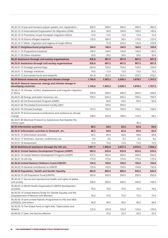| 06.32.10.13 Just and humane asylum system, incl. repatriation                                    | 300.0   | 300.0   | 300.0   | 300.0   | 300.0   |
|--------------------------------------------------------------------------------------------------|---------|---------|---------|---------|---------|
| 06.32.10.14 International Organization for Migration (IOM)                                       | 50.0    | 50.0    | 100.0   | 100.0   | 100.0   |
| 06.32.10.15 Promotion of pan-European migration efforts                                          | 15.0    | 15.0    | 15.0    | 15.0    | 15.0    |
| 06.32.10.16 Future refugee response                                                              | 125.0   | 200.0   | 50.0    | 175.0   | 125.0   |
| 06.32.10.17 Other migration and regions of origin efforts                                        |         | 75.0    | 225.0   | 135.0   | 210.0   |
| 06.32.11 Neighbourhood programme                                                                 | 160.0   | 160.0   | 160.0   | 160.0   | 160.0   |
| 06.32.11.10 Programme initiatives                                                                | 140.0   | 140.0   | 140.0   | 140.0   | 140.0   |
| 06.32.11.20 Other initiatives                                                                    | 20.0    | 20.0    | 20.0    | 20.0    | 20.0    |
| 06.33 Assistance through civil society organisations                                             | 935.8   | 997.5   | 997.5   | 997.5   | 997.5   |
| 06.33.01 Assistance through civil society organisations                                          | 935.8   | 997.5   | 997.5   | 997.5   | 997.5   |
| 06.33.01.10 Strategic partnerships                                                               | 664.0   | 729.0   | 729.0   | 729.0   | 729.0   |
| 06.33.01.11 Strategic initiatives                                                                | 10.0    | 15.0    | 15.0    | 15.0    | 15.0    |
| 06.33.01.12 Earmarked funds and networks                                                         | 261.8   | 253.5   | 253.5   | 253.5   | 253.5   |
| 06.34 Natural resources, energy and climate change                                               | 1,745.0 | 1,963.3 | 2,038.3 | 1,878.5 | 1,767.5 |
| 06.34.01 Natural resources, energy and climate change in<br>developing countries                 | 1,745.0 | 1,963.3 | 2,038.3 | 1,878.5 | 1,767.5 |
| 06.34.01.10 Climate, conflict, displacement and irregular migration<br>in Africa                 | 200.0   | 200.0   | 200.0   | 200.0   | 200.0   |
| 06.34.01.40 Energy and water resources, etc.                                                     | 709.5   | 520.3   | 500.3   | 709.5   | 709.5   |
| 06.34.01.50 UN Environment Program (UNEP)                                                        |         | 50.0    | 50.0    | 50.0    | 50.0    |
| 06.34.01.60 The Global Environment Facility (GEF)                                                |         | 150.0   | 350.0   |         |         |
| 06.34.01.70 Climate Envelope                                                                     | 727.5   | 750.0   | 750.0   | 750.0   | 750.0   |
| 06.34.01.75 Environmental contributions and resilience to climate<br>change                      | 108.0   | 293.0   | 188.0   | 133.0   | 58.0    |
| 06.34.01.85 Montreal Protocol on Substances that Deplete the<br>Ozone Layer                      |         |         |         | 36,0    |         |
| 06.35 Information activities                                                                     | 88.5    | 64.0    | 82.8    | 82.8    | 82.8    |
| 06.35.01 Information activities in Denmark, etc.                                                 | 88.5    | 64.0    | 82.8    | 82.8    | 82.8    |
| 06.35.01.13 Information activities                                                               | 64.5    | 40.0    | 58.8    | 58.8    | 58.8    |
| 06.35.01.17 Seminars, courses, conferences, etc.                                                 | 9.0     | 9.0     | 9.0     | 9.0     | 9.0     |
| 06.35.01.18 Assessment                                                                           | 15.0    | 15.0    | 15.0    | 15.0    | 15.0    |
| 06.36 Multilateral assistance through the UN, etc.                                               | 1,801.7 | 1,996.0 | 2,047.2 | 2,070.5 | 1,994.2 |
| 06.36.01 United Nations Development Program (UNDP)                                               | 502.0   | 525.0   | 525.0   | 525.0   | 525.0   |
| 06.36.01.10 United Nations Development Program (UNDP)                                            | 327.0   | 350.0   | 350.0   | 350.0   | 350.0   |
| 06.36.01.14 UN City                                                                              | 175.0   | 175.0   | 175.0   | 175.0   | 175.0   |
| 06.36.02 United Nations Children's Fund (UNICEF)                                                 |         |         |         |         | 150.0   |
| 06.36.02.10 General contribution to UNICEF                                                       | 125.0   | 150.0   | 150.0   | 150.0   |         |
|                                                                                                  | 125.0   | 150.0   | 150.0   | 150.0   | 150.0   |
| 06.36.03 Population, Health and Gender Equality                                                  | 863.0   | 885.0   | 885.0   | 925.0   | 845.0   |
| 06.36.03.10 UN Population Fund (UNFPA)                                                           | 350.0   | 350.0   | 350.0   | 350.0   | 350.0   |
| 06.36.03.11 Sexual and reproductive health and rights of global<br>civil society                 | 200.0   | 200.0   | 200.0   | 240.0   | 160.0   |
| 06.36.03.12 World Health Organization's (WHO) development<br>activities                          | 70.0    | 70.0    | 70.0    | 70.0    | 70.0    |
| 06.36.03.13 United Nations Entity for Gender Equality and the<br>Empowerment of Women (UN Women) | 78.0    | 75.0    | 75.0    | 75.0    | 75.0    |
| 06.36.03.14 Joint United Nations Programme on HIV and AIDS<br>(UNAIDS), and others               | 40.0    | 40.0    | 40.0    | 40.0    | 40.0    |
| 06.36.03.16 The Global Fund to Fight Aids, Tuberculosis and<br>Malaria                           | 125.0   | 125.0   | 125.0   | 125.0   | 125.0   |
| 06.36.03.17 Gavi, the Vaccine Alliance                                                           |         | 25.0    | 25.0    | 25.0    | 25.0    |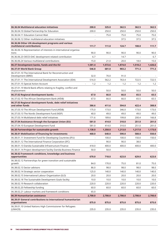| 06.36.04 Multilateral education initiatives                                        | 200.0                           | 325.0   | 362.5                    | 362.5   | 362.5   |
|------------------------------------------------------------------------------------|---------------------------------|---------|--------------------------|---------|---------|
| 06.36.04.10 Global Partnership for Education                                       | 200.0                           | 250.0   | 250.0                    | 250.0   | 250.0   |
| 06.36.04.11 Education Cannot Wait                                                  | $\overline{\phantom{a}}$        | 75.0    | 75.0                     | 75.0    | 75.0    |
| 06.36.06.12 Other multilateral education initiatives                               |                                 |         | 37.5                     | 37.5    | 37.5    |
| 06.36.06 Other UN development programs and various<br>multilateral contributions   | 111.7                           | 111.0   | 124.7                    | 108.0   | 111.7   |
| 06.36.06.16 Representation of interests in international organisa-<br>tions        | 90.0                            | 90.0    | 90.0                     | 90.0    | 90.0    |
| 06.36.06.23 OECD-DAC development-related contribution                              | 6.7                             |         | 14.7                     |         | 6.7     |
| 06.36.06.24 Various multilateral contributions                                     | 15.0                            | 21.0    | 20.0                     | 18.0    | 15.0    |
| 06.37 Development banks, funds and the EU                                          | 1,581.4                         | 1,572.6 | 1,874.0                  | 1,510.2 | 1,426.6 |
| 06.37.01 World Bank Group                                                          | 546.8                           | 681.0   | 903.2                    | 771.3   | 771.3   |
| 06.37.01.10 The International Bank for Reconstruction and<br>Development (IBRD)    | 32.0                            | 70.0    | 91.0                     |         |         |
| 06.37.01.11 The International Development Association (IDA)                        | 516.0                           | 562.2   | 763.4                    | 722.5   | 722.5   |
| 06.37.01.15 Special Action Account                                                 | 1.2<br>$\overline{\phantom{a}}$ | 1.2     | 1.2                      | 1.2     | 1.2     |
| 06.37.01.19 World Bank efforts relating to fragility, conflict and<br>displacement |                                 | 50.0    | 50.0                     | 50.0    | 50.0    |
| 06.37.02 Regional development banks                                                | 67.0                            | 66.0    | 66.0                     | 65.5    | 65.5    |
| 06.37.02.10 The African Development Bank (AfDB)                                    | 67.0                            | 66.0    | 66.0                     | 65.5    | 65.5    |
| 06.37.03 Regional development funds, debt relief initiatives<br>and other funds    | 386.6                           | 411.6   | 594.8                    | 422.4   | 388.8   |
| 06.37.03.10 The African Development Fund (AfDB)                                    | 175.0                           | 173.0   | 346.0                    | 173.0   | 173.0   |
| 06.37.03.13 The Nordic Development Fund (NDF)                                      | 40.0                            | 49.0    | 49.0                     | 49.0    | 49.0    |
| 06.37.03.14 Multilateral debt relief initiatives                                   | 171.6                           | 189.6   | 199.8                    | 200.4   | 166.8   |
| 06.37.04 Assistance through the European Union (EU)                                | 581.0                           | 414.0   | 310.0                    | 251.0   | 201.0   |
| 06.37.04.10 European Development Fund                                              | 581.0                           | 414.0   | 310.0                    | 251.0   | 201.0   |
| 06.38 Partnerships for sustainable growth                                          | 1,138.0                         | 1,358.0 | 1,213.0                  | 1,217.0 | 1,173.0 |
| 06.38.01 Mobilisation of financing for investments                                 | 468.0                           | 640.0   | 590.0                    | 588.0   | 550.0   |
| 06.38.01.11 Investment Fund for Developing Countries (IFU)                         |                                 | 100.0   | 100.0                    | 150.0   | 150.0   |
| 06.38.01.12 The International Finance Corporation (IFC)                            |                                 | 90.0    | 90.0                     | 38.0    |         |
| 06.38.01.13 Danida Sustainable Infrastructure Finance                              | 418.0                           | 400.0   | 400.0                    | 400.0   | 400.0   |
| 06.38.01.14 Project development facility Danida Business Finance                   | 50.0                            | 50.0    | $\overline{\phantom{a}}$ |         |         |
| 06.38.02 Framework conditions, knowledge and business<br>opportunities             | 670.0                           | 718.0   | 623.0                    | 629.0   | 623.0   |
| 06.38.02.12 Partnerships for green transition and sustainable<br>growth            | 84.0                            | 170.0   | 75.0                     | 81.0    | 75.0    |
| 06.38.02.13 Sector advisors                                                        | 86.0                            | 98.0    | 98.0                     | 98.0    | 98.0    |
| 06.38.02.14 Strategic sector cooperation                                           | 125.0                           | 140.0   | 140.0                    | 140.0   | 140.0   |
| 06.38.02.15 International Labour Organization (ILO)                                | 20.0                            | 20.0    | 20.0                     | 20.0    | 20.0    |
| 06.38.02.18 The Sustainable Development Goals facility                             | 10.0                            | 10.0    | 10.0                     | 10.0    | 10.0    |
| 06.38.02.19 Research collaboration                                                 | 220.0                           | 220.0   | 220.0                    | 220.0   | 220.0   |
| 06.38.02.20 Fellowship funding                                                     | 60.0                            | 60.0    | 60.0                     | 60.0    | 60.0    |
| 06.38.02.21 Labour markets and framework conditions                                | 65.0                            |         |                          |         |         |
| 06.39 Humanitarian assistance                                                      | 2,700.0                         | 2,700.0 | 2,700.0                  | 2,700.0 | 2,700.0 |
| 06.39.01 General contributions to international humanitarian<br>organisations      | 875.0                           | 875.0   | 875.0                    | 875.0   | 875.0   |
| 06.39.01.10 United Nations High Commissioner for Refugees<br>(UNHCR)               | 235.0                           | 235.0   | 235.0                    | 235.0   | 235.0   |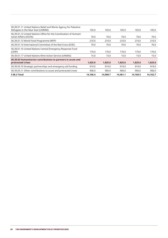| 105.0    | 105.0    | 105.0    | 105.0    | 105.0    |
|----------|----------|----------|----------|----------|
| 70.0     | 70.0     | 70.0     | 70.0     | 70.0     |
| 210.0    | 210.0    | 210.0    | 210.0    | 210.0    |
| 70.0     | 70.0     | 70.0     | 70.0     | 70.0     |
| 170.0    | 170.0    | 170.0    | 170.0    | 170.0    |
| 15.0     | 15.0     | 15.0     | 15.0     | 15.0     |
| 1,825.0  | 1,825.0  | 1.825.0  | 1,825.0  | 1,825.0  |
| 919.0    | 919.0    | 919.0    | 919.0    | 919.0    |
| 906.0    | 906.0    | 906.0    | 906.0    | 906.0    |
| 14.166.4 | 14.098.7 | 14.461.1 | 14.160.5 | 14.162.7 |
|          |          |          |          |          |